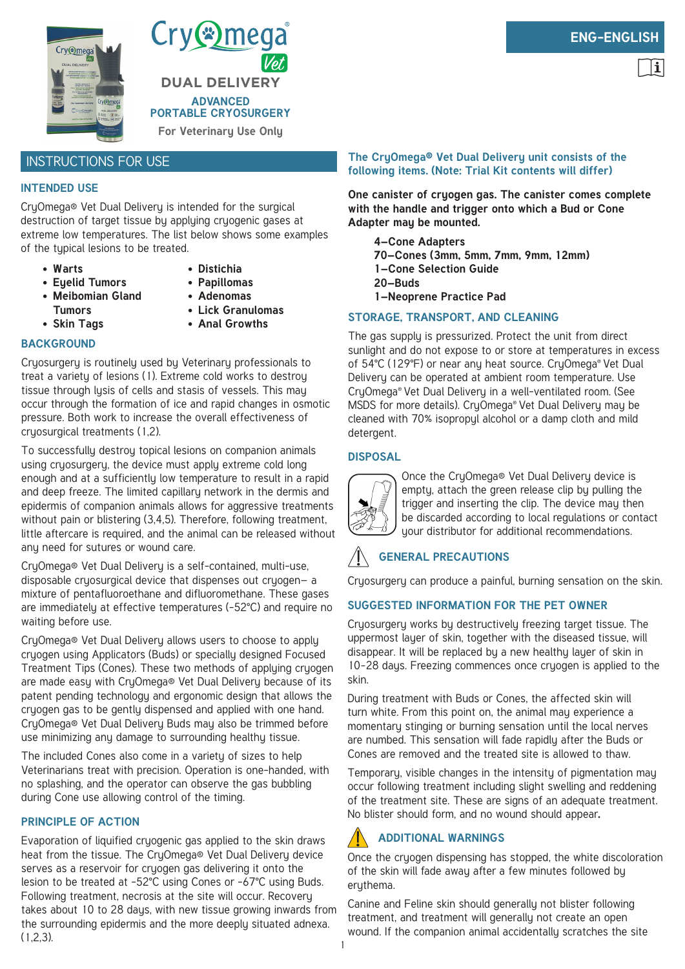

Cry<sup>®</sup>mega® **DUAL DELIVERY ADVANCED PORTABLE CRYOSURGERY**

**For Veterinary Use Only**

### INSTRUCTIONS FOR USE

#### **INTENDED USE**

CryOmega® Vet Dual Delivery is intended for the surgical destruction of target tissue by applying cryogenic gases at extreme low temperatures. The list below shows some examples of the typical lesions to be treated.

- **• Warts**
- **• Distichia**
- **• Papillomas • Adenomas**
- **• Meibomian Gland Tumors**

**• Eyelid Tumors**

- **• Skin Tags**
- **• Lick Granulomas**
- **• Anal Growths**

#### **BACKGROUND**

Cryosurgery is routinely used by Veterinary professionals to treat a variety of lesions (1). Extreme cold works to destroy tissue through lysis of cells and stasis of vessels. This may occur through the formation of ice and rapid changes in osmotic pressure. Both work to increase the overall effectiveness of cryosurgical treatments (1,2).

To successfully destroy topical lesions on companion animals using cryosurgery, the device must apply extreme cold long enough and at a sufficiently low temperature to result in a rapid and deep freeze. The limited capillary network in the dermis and epidermis of companion animals allows for aggressive treatments without pain or blistering (3,4,5). Therefore, following treatment, little aftercare is required, and the animal can be released without any need for sutures or wound care.

CryOmega® Vet Dual Delivery is a self-contained, multi-use, disposable cryosurgical device that dispenses out cryogen— a mixture of pentafluoroethane and difluoromethane. These gases are immediately at effective temperatures (-52°C) and require no waiting before use.

CryOmega® Vet Dual Delivery allows users to choose to apply cryogen using Applicators (Buds) or specially designed Focused Treatment Tips (Cones). These two methods of applying cryogen are made easy with CryOmega® Vet Dual Delivery because of its patent pending technology and ergonomic design that allows the cryogen gas to be gently dispensed and applied with one hand. CryOmega® Vet Dual Delivery Buds may also be trimmed before use minimizing any damage to surrounding healthy tissue.

The included Cones also come in a variety of sizes to help Veterinarians treat with precision. Operation is one-handed, with no splashing, and the operator can observe the gas bubbling during Cone use allowing control of the timing.

#### **PRINCIPLE OF ACTION**

Evaporation of liquified cryogenic gas applied to the skin draws heat from the tissue. The CryOmega® Vet Dual Delivery device serves as a reservoir for cryogen gas delivering it onto the lesion to be treated at -52°C using Cones or -67°C using Buds. Following treatment, necrosis at the site will occur. Recovery takes about 10 to 28 days, with new tissue growing inwards from the surrounding epidermis and the more deeply situated adnexa. (1,2,3).

# **ENG-ENGLISH**

#### **The CryOmega® Vet Dual Delivery unit consists of the following items. (Note: Trial Kit contents will differ)**

**One canister of cryogen gas. The canister comes complete with the handle and trigger onto which a Bud or Cone Adapter may be mounted.**

**4–Cone Adapters 70–Cones (3mm, 5mm, 7mm, 9mm, 12mm) 1–Cone Selection Guide 20–Buds 1–Neoprene Practice Pad**

#### **STORAGE, TRANSPORT, AND CLEANING**

The gas supply is pressurized. Protect the unit from direct sunlight and do not expose to or store at temperatures in excess of 54°C (129°F) or near any heat source. CryOmega® Vet Dual Delivery can be operated at ambient room temperature. Use CryOmega® Vet Dual Delivery in a well-ventilated room. (See MSDS for more details). CryOmega® Vet Dual Delivery may be cleaned with 70% isopropyl alcohol or a damp cloth and mild detergent.

#### **DISPOSAL**



Once the CryOmega® Vet Dual Delivery device is empty, attach the green release clip by pulling the trigger and inserting the clip. The device may then be discarded according to local regulations or contact your distributor for additional recommendations.

### **GENERAL PRECAUTIONS**

Cryosurgery can produce a painful, burning sensation on the skin.

### **SUGGESTED INFORMATION FOR THE PET OWNER**

Cryosurgery works by destructively freezing target tissue. The uppermost layer of skin, together with the diseased tissue, will disappear. It will be replaced by a new healthy layer of skin in 10–28 days. Freezing commences once cryogen is applied to the skin.

During treatment with Buds or Cones, the affected skin will turn white. From this point on, the animal may experience a momentary stinging or burning sensation until the local nerves are numbed. This sensation will fade rapidly after the Buds or Cones are removed and the treated site is allowed to thaw.

Temporary, visible changes in the intensity of pigmentation may occur following treatment including slight swelling and reddening of the treatment site. These are signs of an adequate treatment. No blister should form, and no wound should appear**.**

## **ADDITIONAL WARNINGS**

Once the cryogen dispensing has stopped, the white discoloration of the skin will fade away after a few minutes followed by erythema.

Canine and Feline skin should generally not blister following treatment, and treatment will generally not create an open wound. If the companion animal accidentally scratches the site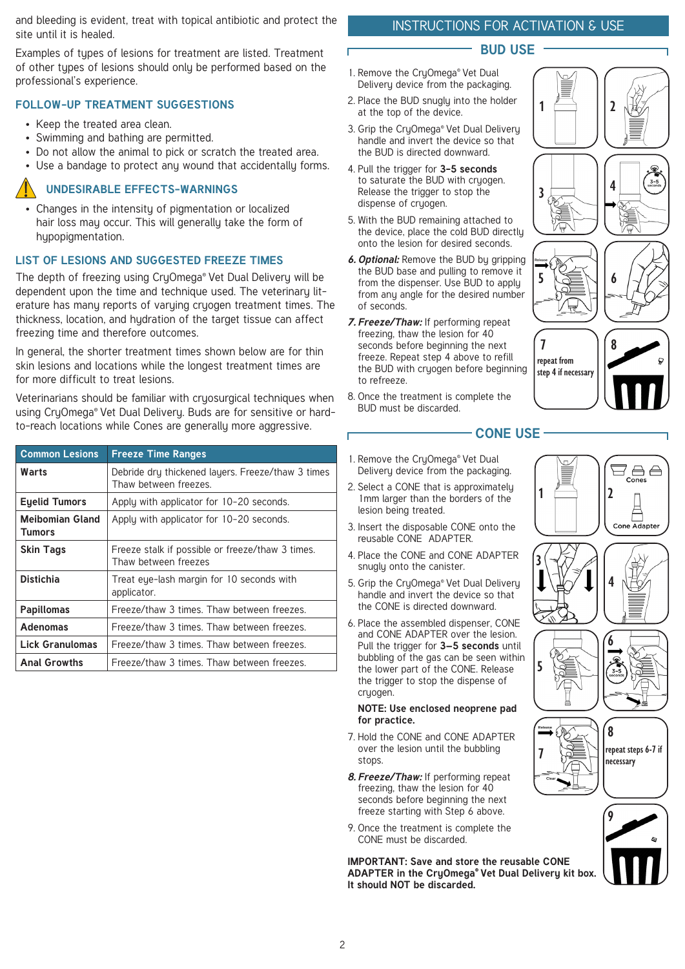and bleeding is evident, treat with topical antibiotic and protect the site until it is healed.

Examples of types of lesions for treatment are listed. Treatment of other types of lesions should only be performed based on the professional's experience.

#### **FOLLOW-UP TREATMENT SUGGESTIONS**

- Keep the treated area clean.
- Swimming and bathing are permitted.
- Do not allow the animal to pick or scratch the treated area.
- Use a bandage to protect any wound that accidentally forms.

#### **UNDESIRABLE EFFECTS-WARNINGS**

• Changes in the intensity of pigmentation or localized hair loss may occur. This will generally take the form of hypopigmentation.

#### **LIST OF LESIONS AND SUGGESTED FREEZE TIMES**

The depth of freezing using CruOmega® Vet Dual Delivery will be dependent upon the time and technique used. The veterinary literature has many reports of varying cryogen treatment times. The thickness, location, and hydration of the target tissue can affect freezing time and therefore outcomes.

In general, the shorter treatment times shown below are for thin skin lesions and locations while the longest treatment times are for more difficult to treat lesions.

Veterinarians should be familiar with cruosurgical techniques when using CryOmega® Vet Dual Delivery. Buds are for sensitive or hardto-reach locations while Cones are generally more aggressive.

| <b>Common Lesions</b>            | <b>Freeze Time Ranges</b>                                                  |
|----------------------------------|----------------------------------------------------------------------------|
| Warts                            | Debride dry thickened layers. Freeze/thaw 3 times<br>Thaw between freezes. |
| <b>Eyelid Tumors</b>             | Apply with applicator for 10-20 seconds.                                   |
| <b>Meibomian Gland</b><br>Tumors | Apply with applicator for 10-20 seconds.                                   |
| <b>Skin Tags</b>                 | Freeze stalk if possible or freeze/thaw 3 times.<br>Thaw between freezes   |
| <b>Distichia</b>                 | Treat eye-lash margin for 10 seconds with<br>applicator.                   |
| <b>Papillomas</b>                | Freeze/thaw 3 times. Thaw between freezes.                                 |
| <b>Adenomas</b>                  | Freeze/thaw 3 times. Thaw between freezes.                                 |
| <b>Lick Granulomas</b>           | Freeze/thaw 3 times. Thaw between freezes.                                 |
| <b>Anal Growths</b>              | Freeze/thaw 3 times. Thaw between freezes.                                 |

## INSTRUCTIONS FOR ACTIVATION & USE

#### **BUD USE**

- 1. Remove the CryOmega® Vet Dual Delivery device from the packaging.
- 2. Place the BUD snugly into the holder at the top of the device.
- 3. Grip the CryOmega® Vet Dual Delivery handle and invert the device so that the BUD is directed downward.
- 4. Pull the trigger for **3-5 seconds** to saturate the BUD with cryogen. Release the trigger to stop the dispense of cryogen.
- 5. With the BUD remaining attached to the device, place the cold BUD directly onto the lesion for desired seconds.
- *6. Optional:* Remove the BUD by gripping the BUD base and pulling to remove it from the dispenser. Use BUD to apply from any angle for the desired number of seconds.
- *7. Freeze/Thaw:* If performing repeat freezing, thaw the lesion for 40 seconds before beginning the next freeze. Repeat step 4 above to refill the BUD with cryogen before beginning to refreeze.
- 8. Once the treatment is complete the BUD must be discarded.

# **CONE USE**

- 1. Remove the CruOmega® Vet Dual Delivery device from the packaging.
- 2. Select a CONE that is approximately 1mm larger than the borders of the lesion being treated.
- 3. Insert the disposable CONE onto the reusable CONE ADAPTER.
- 4. Place the CONE and CONE ADAPTER snugly onto the canister.
- 5. Grip the CryOmega® Vet Dual Delivery handle and invert the device so that the CONE is directed downward.
- 6. Place the assembled dispenser, CONE and CONE ADAPTER over the lesion. Pull the trigger for **3–5 seconds** until bubbling of the gas can be seen within the lower part of the CONE. Release the trigger to stop the dispense of cryogen.

#### **NOTE: Use enclosed neoprene pad for practice.**

- 7. Hold the CONE and CONE ADAPTER over the lesion until the bubbling stops.
- *8. Freeze/Thaw:* If performing repeat freezing, thaw the lesion for 40 seconds before beginning the next freeze starting with Step 6 above.
- 9. Once the treatment is complete the CONE must be discarded.

**IMPORTANT: Save and store the reusable CONE ADAPTER in the CryOmega® Vet Dual Delivery kit box. It should NOT be discarded.**